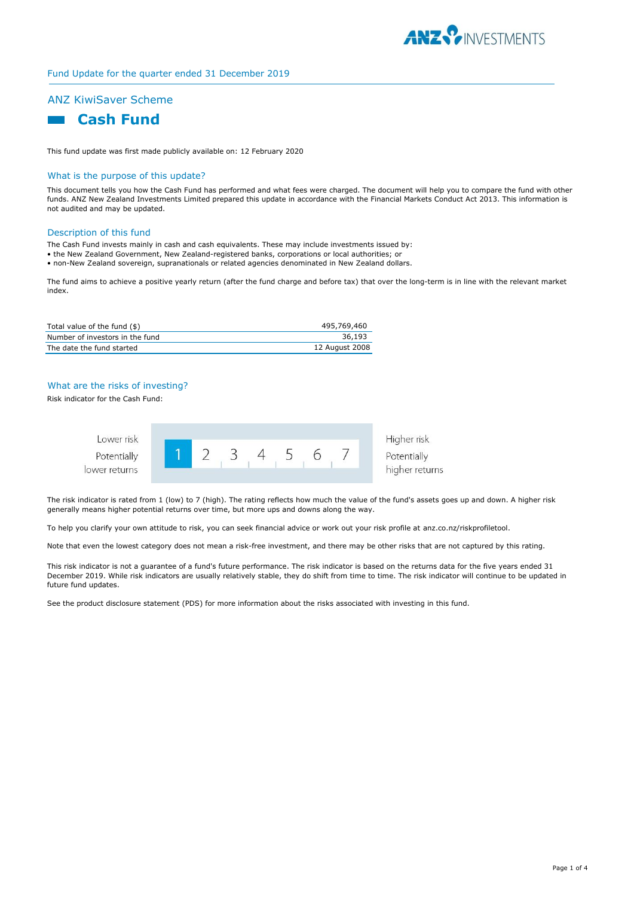

# Fund Update for the quarter ended 31 December 2019

# ANZ KiwiSaver Scheme



This fund update was first made publicly available on: 12 February 2020

#### What is the purpose of this update?

This document tells you how the Cash Fund has performed and what fees were charged. The document will help you to compare the fund with other funds. ANZ New Zealand Investments Limited prepared this update in accordance with the Financial Markets Conduct Act 2013. This information is not audited and may be updated.

#### Description of this fund

The Cash Fund invests mainly in cash and cash equivalents. These may include investments issued by:

- the New Zealand Government, New Zealand-registered banks, corporations or local authorities; or
- non-New Zealand sovereign, supranationals or related agencies denominated in New Zealand dollars.

The fund aims to achieve a positive yearly return (after the fund charge and before tax) that over the long-term is in line with the relevant market index.

| Total value of the fund (\$)    | 495,769,460    |
|---------------------------------|----------------|
| Number of investors in the fund | 36.193         |
| The date the fund started       | 12 August 2008 |

## What are the risks of investing?

Risk indicator for the Cash Fund:



The risk indicator is rated from 1 (low) to 7 (high). The rating reflects how much the value of the fund's assets goes up and down. A higher risk generally means higher potential returns over time, but more ups and downs along the way.

To help you clarify your own attitude to risk, you can seek financial advice or work out your risk profile at anz.co.nz/riskprofiletool.

Note that even the lowest category does not mean a risk-free investment, and there may be other risks that are not captured by this rating.

This risk indicator is not a guarantee of a fund's future performance. The risk indicator is based on the returns data for the five years ended 31 December 2019. While risk indicators are usually relatively stable, they do shift from time to time. The risk indicator will continue to be updated in future fund updates.

See the product disclosure statement (PDS) for more information about the risks associated with investing in this fund.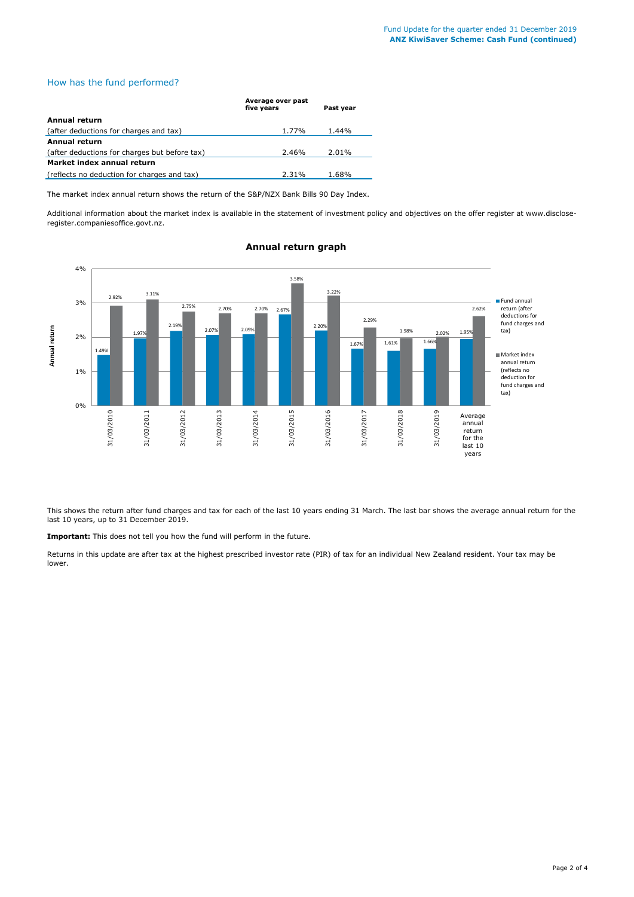## How has the fund performed?

|                                               | Average over past |           |  |  |
|-----------------------------------------------|-------------------|-----------|--|--|
|                                               | five years        | Past year |  |  |
| Annual return                                 |                   |           |  |  |
| (after deductions for charges and tax)        | 1.77%             | 1.44%     |  |  |
| Annual return                                 |                   |           |  |  |
| (after deductions for charges but before tax) | 2.46%             | 2.01%     |  |  |
| Market index annual return                    |                   |           |  |  |
| (reflects no deduction for charges and tax)   | 2.31%             | 1.68%     |  |  |

The market index annual return shows the return of the S&P/NZX Bank Bills 90 Day Index.

Additional information about the market index is available in the statement of investment policy and objectives on the offer register at www.discloseregister.companiesoffice.govt.nz.



# **Annual return graph**

This shows the return after fund charges and tax for each of the last 10 years ending 31 March. The last bar shows the average annual return for the last 10 years, up to 31 December 2019.

**Important:** This does not tell you how the fund will perform in the future.

Returns in this update are after tax at the highest prescribed investor rate (PIR) of tax for an individual New Zealand resident. Your tax may be lower.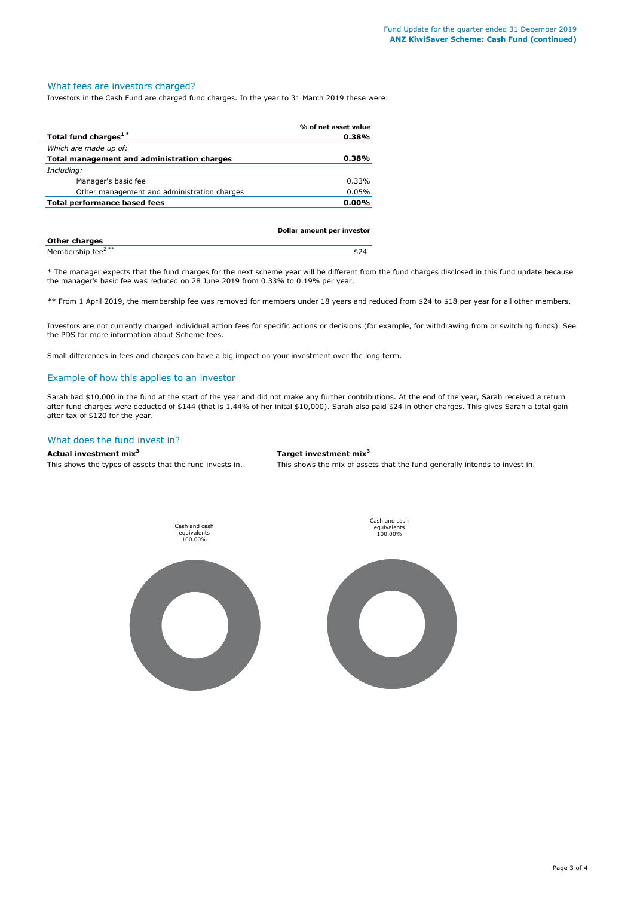## What fees are investors charged?

Investors in the Cash Fund are charged fund charges. In the year to 31 March 2019 these were:

|                                             | % of net asset value |
|---------------------------------------------|----------------------|
| Total fund charges <sup>1*</sup>            | 0.38%                |
| Which are made up of:                       |                      |
| Total management and administration charges | 0.38%                |
| Including:                                  |                      |
| Manager's basic fee                         | 0.33%                |
| Other management and administration charges | 0.05%                |
| Total performance based fees                | $0.00\%$             |
|                                             |                      |

|                               | Dollar amount per investor |
|-------------------------------|----------------------------|
| <b>Other charges</b>          |                            |
| Membership fee <sup>2**</sup> | \$24                       |

\* The manager expects that the fund charges for the next scheme year will be different from the fund charges disclosed in this fund update because the manager's basic fee was reduced on 28 June 2019 from 0.33% to 0.19% per year.

\*\* From 1 April 2019, the membership fee was removed for members under 18 years and reduced from \$24 to \$18 per year for all other members.

Investors are not currently charged individual action fees for specific actions or decisions (for example, for withdrawing from or switching funds). See the PDS for more information about Scheme fees.

Small differences in fees and charges can have a big impact on your investment over the long term.

#### Example of how this applies to an investor

Sarah had \$10,000 in the fund at the start of the year and did not make any further contributions. At the end of the year, Sarah received a return after fund charges were deducted of \$144 (that is 1.44% of her inital \$10,000). Sarah also paid \$24 in other charges. This gives Sarah a total gain after tax of \$120 for the year.

#### What does the fund invest in?

**Actual investment mix<sup>3</sup> Target investment mix<sup>3</sup>**

This shows the types of assets that the fund invests in. This shows the mix of assets that the fund generally intends to invest in.